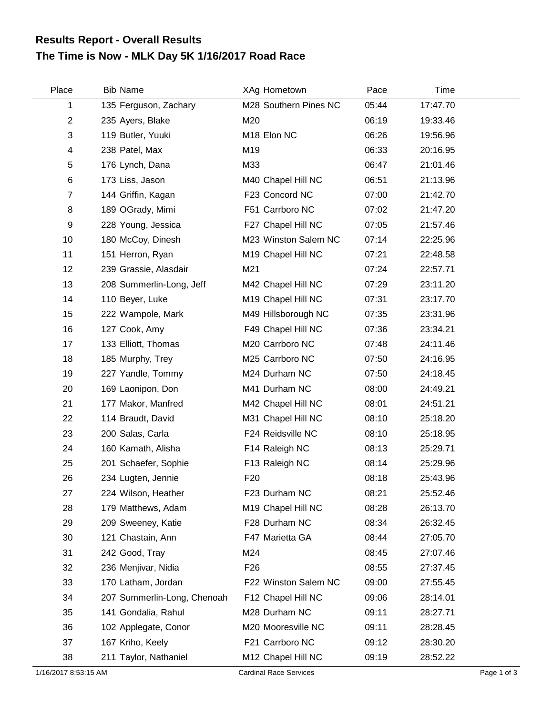## **The Time is Now - MLK Day 5K 1/16/2017 Road Race Results Report - Overall Results**

| Place                | <b>Bib Name</b>             | XAg Hometown                  | Pace  | Time     |             |
|----------------------|-----------------------------|-------------------------------|-------|----------|-------------|
| 1                    | 135 Ferguson, Zachary       | M28 Southern Pines NC         | 05:44 | 17:47.70 |             |
| $\overline{2}$       | 235 Ayers, Blake            | M20                           | 06:19 | 19:33.46 |             |
| 3                    | 119 Butler, Yuuki           | M18 Elon NC                   | 06:26 | 19:56.96 |             |
| 4                    | 238 Patel, Max              | M19                           | 06:33 | 20:16.95 |             |
| 5                    | 176 Lynch, Dana             | M33                           | 06:47 | 21:01.46 |             |
| 6                    | 173 Liss, Jason             | M40 Chapel Hill NC            | 06:51 | 21:13.96 |             |
| $\overline{7}$       | 144 Griffin, Kagan          | F23 Concord NC                | 07:00 | 21:42.70 |             |
| 8                    | 189 OGrady, Mimi            | F51 Carrboro NC               | 07:02 | 21:47.20 |             |
| 9                    | 228 Young, Jessica          | F27 Chapel Hill NC            | 07:05 | 21:57.46 |             |
| 10                   | 180 McCoy, Dinesh           | M23 Winston Salem NC          | 07:14 | 22:25.96 |             |
| 11                   | 151 Herron, Ryan            | M19 Chapel Hill NC            | 07:21 | 22:48.58 |             |
| 12                   | 239 Grassie, Alasdair       | M21                           | 07:24 | 22:57.71 |             |
| 13                   | 208 Summerlin-Long, Jeff    | M42 Chapel Hill NC            | 07:29 | 23:11.20 |             |
| 14                   | 110 Beyer, Luke             | M19 Chapel Hill NC            | 07:31 | 23:17.70 |             |
| 15                   | 222 Wampole, Mark           | M49 Hillsborough NC           | 07:35 | 23:31.96 |             |
| 16                   | 127 Cook, Amy               | F49 Chapel Hill NC            | 07:36 | 23:34.21 |             |
| 17                   | 133 Elliott, Thomas         | M20 Carrboro NC               | 07:48 | 24:11.46 |             |
| 18                   | 185 Murphy, Trey            | M25 Carrboro NC               | 07:50 | 24:16.95 |             |
| 19                   | 227 Yandle, Tommy           | M24 Durham NC                 | 07:50 | 24:18.45 |             |
| 20                   | 169 Laonipon, Don           | M41 Durham NC                 | 08:00 | 24:49.21 |             |
| 21                   | 177 Makor, Manfred          | M42 Chapel Hill NC            | 08:01 | 24:51.21 |             |
| 22                   | 114 Braudt, David           | M31 Chapel Hill NC            | 08:10 | 25:18.20 |             |
| 23                   | 200 Salas, Carla            | F24 Reidsville NC             | 08:10 | 25:18.95 |             |
| 24                   | 160 Kamath, Alisha          | F14 Raleigh NC                | 08:13 | 25:29.71 |             |
| 25                   | 201 Schaefer, Sophie        | F13 Raleigh NC                | 08:14 | 25:29.96 |             |
| 26                   | 234 Lugten, Jennie          | F <sub>20</sub>               | 08:18 | 25:43.96 |             |
| 27                   | 224 Wilson, Heather         | F23 Durham NC                 | 08:21 | 25:52.46 |             |
| 28                   | 179 Matthews, Adam          | M19 Chapel Hill NC            | 08:28 | 26:13.70 |             |
| 29                   | 209 Sweeney, Katie          | F28 Durham NC                 | 08:34 | 26:32.45 |             |
| 30                   | 121 Chastain, Ann           | F47 Marietta GA               | 08:44 | 27:05.70 |             |
| 31                   | 242 Good, Tray              | M24                           | 08:45 | 27:07.46 |             |
| 32                   | 236 Menjivar, Nidia         | F <sub>26</sub>               | 08:55 | 27:37.45 |             |
| 33                   | 170 Latham, Jordan          | F22 Winston Salem NC          | 09:00 | 27:55.45 |             |
| 34                   | 207 Summerlin-Long, Chenoah | F12 Chapel Hill NC            | 09:06 | 28:14.01 |             |
| 35                   | 141 Gondalia, Rahul         | M28 Durham NC                 | 09:11 | 28:27.71 |             |
| 36                   | 102 Applegate, Conor        | M20 Mooresville NC            | 09:11 | 28:28.45 |             |
| 37                   | 167 Kriho, Keely            | F21 Carrboro NC               | 09:12 | 28:30.20 |             |
| 38                   | 211 Taylor, Nathaniel       | M12 Chapel Hill NC            | 09:19 | 28:52.22 |             |
| 1/16/2017 8:53:15 AM |                             | <b>Cardinal Race Services</b> |       |          | Page 1 of 3 |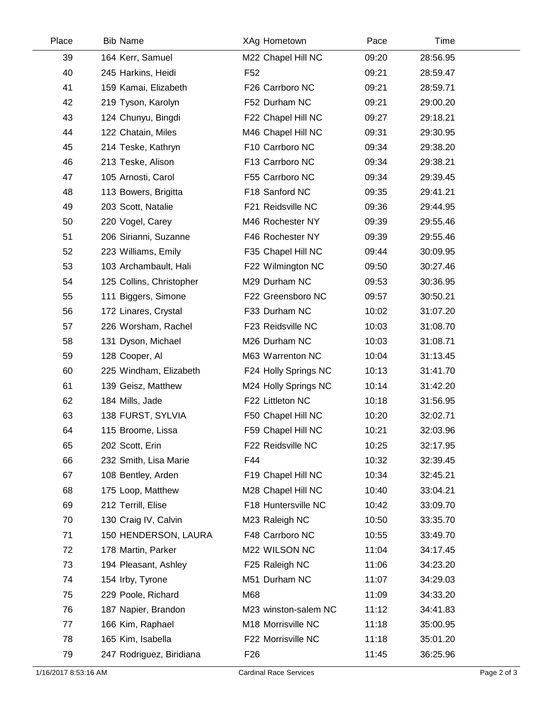| Place | <b>Bib Name</b>          | XAg Hometown         | Pace  | Time     |  |
|-------|--------------------------|----------------------|-------|----------|--|
| 39    | 164 Kerr, Samuel         | M22 Chapel Hill NC   | 09:20 | 28:56.95 |  |
| 40    | 245 Harkins, Heidi       | F <sub>52</sub>      | 09:21 | 28:59.47 |  |
| 41    | 159 Kamai, Elizabeth     | F26 Carrboro NC      | 09:21 | 28:59.71 |  |
| 42    | 219 Tyson, Karolyn       | F52 Durham NC        | 09:21 | 29:00.20 |  |
| 43    | 124 Chunyu, Bingdi       | F22 Chapel Hill NC   | 09:27 | 29:18.21 |  |
| 44    | 122 Chatain, Miles       | M46 Chapel Hill NC   | 09:31 | 29:30.95 |  |
| 45    | 214 Teske, Kathryn       | F10 Carrboro NC      | 09:34 | 29:38.20 |  |
| 46    | 213 Teske, Alison        | F13 Carrboro NC      | 09:34 | 29:38.21 |  |
| 47    | 105 Arnosti, Carol       | F55 Carrboro NC      | 09:34 | 29:39.45 |  |
| 48    | 113 Bowers, Brigitta     | F18 Sanford NC       | 09:35 | 29:41.21 |  |
| 49    | 203 Scott, Natalie       | F21 Reidsville NC    | 09:36 | 29:44.95 |  |
| 50    | 220 Vogel, Carey         | M46 Rochester NY     | 09:39 | 29:55.46 |  |
| 51    | 206 Sirianni, Suzanne    | F46 Rochester NY     | 09:39 | 29:55.46 |  |
| 52    | 223 Williams, Emily      | F35 Chapel Hill NC   | 09:44 | 30:09.95 |  |
| 53    | 103 Archambault, Hali    | F22 Wilmington NC    | 09:50 | 30:27.46 |  |
| 54    | 125 Collins, Christopher | M29 Durham NC        | 09:53 | 30:36.95 |  |
| 55    | 111 Biggers, Simone      | F22 Greensboro NC    | 09:57 | 30:50.21 |  |
| 56    | 172 Linares, Crystal     | F33 Durham NC        | 10:02 | 31:07.20 |  |
| 57    | 226 Worsham, Rachel      | F23 Reidsville NC    | 10:03 | 31:08.70 |  |
| 58    | 131 Dyson, Michael       | M26 Durham NC        | 10:03 | 31:08.71 |  |
| 59    | 128 Cooper, Al           | M63 Warrenton NC     | 10:04 | 31:13.45 |  |
| 60    | 225 Windham, Elizabeth   | F24 Holly Springs NC | 10:13 | 31:41.70 |  |
| 61    | 139 Geisz, Matthew       | M24 Holly Springs NC | 10:14 | 31:42.20 |  |
| 62    | 184 Mills, Jade          | F22 Littleton NC     | 10:18 | 31:56.95 |  |
| 63    | 138 FURST, SYLVIA        | F50 Chapel Hill NC   | 10:20 | 32:02.71 |  |
| 64    | 115 Broome, Lissa        | F59 Chapel Hill NC   | 10:21 | 32:03.96 |  |
| 65    | 202 Scott, Erin          | F22 Reidsville NC    | 10:25 | 32:17.95 |  |
| 66    | 232 Smith, Lisa Marie    | F44                  | 10:32 | 32:39.45 |  |
| 67    | 108 Bentley, Arden       | F19 Chapel Hill NC   | 10:34 | 32:45.21 |  |
| 68    | 175 Loop, Matthew        | M28 Chapel Hill NC   | 10:40 | 33:04.21 |  |
| 69    | 212 Terrill, Elise       | F18 Huntersville NC  | 10:42 | 33:09.70 |  |
| 70    | 130 Craig IV, Calvin     | M23 Raleigh NC       | 10:50 | 33:35.70 |  |
| 71    | 150 HENDERSON, LAURA     | F48 Carrboro NC      | 10:55 | 33:49.70 |  |
| 72    | 178 Martin, Parker       | M22 WILSON NC        | 11:04 | 34:17.45 |  |
| 73    | 194 Pleasant, Ashley     | F25 Raleigh NC       | 11:06 | 34:23.20 |  |
| 74    | 154 Irby, Tyrone         | M51 Durham NC        | 11:07 | 34:29.03 |  |
| 75    | 229 Poole, Richard       | M68                  | 11:09 | 34:33.20 |  |
| 76    | 187 Napier, Brandon      | M23 winston-salem NC | 11:12 | 34:41.83 |  |
| 77    | 166 Kim, Raphael         | M18 Morrisville NC   | 11:18 | 35:00.95 |  |
| 78    | 165 Kim, Isabella        | F22 Morrisville NC   | 11:18 | 35:01.20 |  |
| 79    | 247 Rodriguez, Biridiana | F <sub>26</sub>      | 11:45 | 36:25.96 |  |